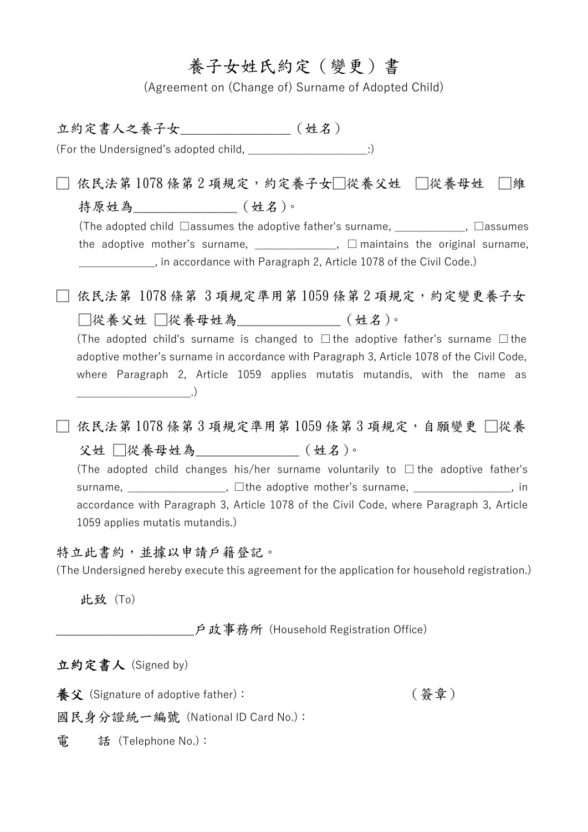## 養子女姓氏約定(變更)書

(Agreement on (Change of) Surname of Adopted Child)

立約定書人之養子女\_\_\_\_\_\_\_\_\_\_\_\_\_\_\_\_(姓名) (For the Undersigned's adopted child,  $\qquad \qquad$  :) □ 依民法第 1078 條第 2 項規定,約定養子女□從養父姓 □從養母姓 □維 持原姓為\_\_\_\_\_\_\_\_\_\_\_\_\_\_\_\_(姓名)。 (The adopted child □assumes the adoptive father's surname, \_\_\_\_\_\_\_\_\_\_\_\_\_, □assumes the adoptive mother's surname,  $\frac{1}{2}$  \_\_\_\_\_\_\_\_\_\_\_\_\_\_,  $\Box$  maintains the original surname, \_\_\_\_\_\_\_\_\_\_\_\_\_\_, in accordance with Paragraph 2, Article 1078 of the Civil Code.) □ 依民法第 1078 條第 3 項規定準用第 1059 條第 2 項規定,約定變更養子女 □從養父姓 □從養母姓為\_\_\_\_\_\_\_\_\_\_\_\_\_(姓名)。 (The adopted child's surname is changed to  $\Box$  the adoptive father's surname  $\Box$  the adoptive mother's surname in accordance with Paragraph 3, Article 1078 of the Civil Code, where Paragraph 2, Article 1059 applies mutatis mutandis, with the name as  $\Box$ □ 依民法第 1078 條第 3 項規定準用第 1059 條第 3 項規定,自願變更 □從養 父姓 □從養母姓為\_\_\_\_\_\_\_\_\_\_\_\_\_\_\_(姓名)。 (The adopted child changes his/her surname voluntarily to  $\Box$  the adoptive father's surname, \_\_\_\_\_\_\_\_\_\_\_\_\_\_\_\_, □the adoptive mother's surname, \_\_\_\_\_\_\_\_\_\_\_\_\_\_\_\_, in accordance with Paragraph 3, Article 1078 of the Civil Code, where Paragraph 3, Article 1059 applies mutatis mutandis.) 特立此書約,並據以申請戶籍登記。 (The Undersigned hereby execute this agreement for the application for household registration.) 此致 (To) \_\_\_\_\_\_\_\_\_\_\_\_\_\_\_\_\_\_\_\_戶政事務所 (Household Registration Office) 立約定書人 (Signed by) **養父** $(Signature of adoptive father):  $\qquad \qquad (\, \textrm{\textcircled{s}}\, \widehat{\pm}\, )$$ 

國民身分證統一編號 (National ID Card No.):

電 話 (Telephone No.):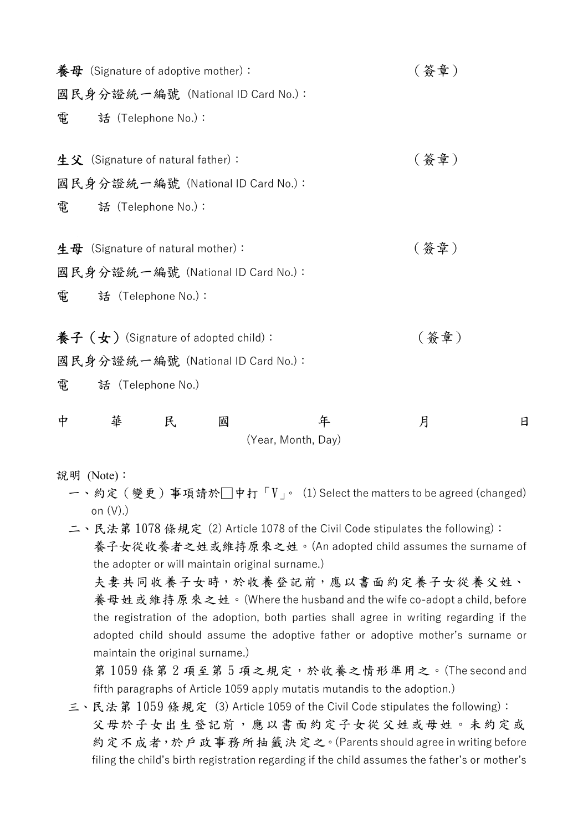|                                       | 養母 (Signature of adoptive mother): |   |                                   |                         | (簽章) |   |
|---------------------------------------|------------------------------------|---|-----------------------------------|-------------------------|------|---|
|                                       |                                    |   | 國民身分證統一編號 (National ID Card No.): |                         |      |   |
| 電                                     | 話 (Telephone No.):                 |   |                                   |                         |      |   |
|                                       | 生父 (Signature of natural father):  |   |                                   |                         | (簽章) |   |
|                                       |                                    |   | 國民身分證統一編號 (National ID Card No.): |                         |      |   |
| 電                                     | 話 (Telephone No.):                 |   |                                   |                         |      |   |
|                                       | 生母 (Signature of natural mother):  |   |                                   |                         | (簽章) |   |
|                                       |                                    |   | 國民身分證統一編號 (National ID Card No.): |                         |      |   |
| 電                                     | 話 (Telephone No.):                 |   |                                   |                         |      |   |
| 養子 (女) (Signature of adopted child) : |                                    |   |                                   |                         | (簽章) |   |
|                                       |                                    |   | 國民身分證統一編號 (National ID Card No.): |                         |      |   |
| 電                                     | 話 (Telephone No.)                  |   |                                   |                         |      |   |
| 中                                     | 華                                  | 民 | 國                                 | 年<br>(Year, Month, Day) | 月    | 日 |

說明 (Note):

- 一、約定(變更)事項請於□中打「V」。 (1) Select the matters to be agreed (changed) on (V).)
- 二、民法第1078條規定 (2) Article 1078 of the Civil Code stipulates the following): 養子女從收養者之姓或維持原來之姓。(An adopted child assumes the surname of the adopter or will maintain original surname.) 夫妻共同收養子女時,於收養登記前,應以書面約定養子女從養父姓、

養母姓或維持原來之姓。(Where the husband and the wife co-adopt a child, before the registration of the adoption, both parties shall agree in writing regarding if the adopted child should assume the adoptive father or adoptive mother's surname or maintain the original surname.)

第1059條第2項至第5項之規定,於收養之情形準用之。(The second and fifth paragraphs of Article 1059 apply mutatis mutandis to the adoption.)

三、民法第 1059 條規定 (3) Article 1059 of the Civil Code stipulates the following): 父母於子女出生登記前,應以書面約定子女從父姓或母姓。未約定或 約定不成者,於戶政事務所抽籤決定之。(Parents should agree in writing before filing the child's birth registration regarding if the child assumes the father's or mother's